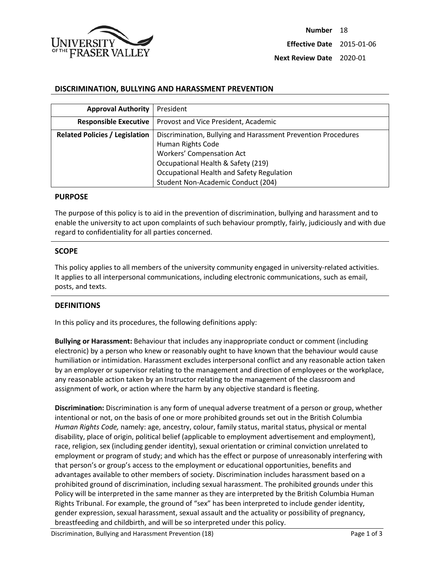

### **DISCRIMINATION, BULLYING AND HARASSMENT PREVENTION**

| <b>Approval Authority</b>             | President                                                                                                                                                    |
|---------------------------------------|--------------------------------------------------------------------------------------------------------------------------------------------------------------|
| <b>Responsible Executive</b>          | Provost and Vice President, Academic                                                                                                                         |
| <b>Related Policies / Legislation</b> | Discrimination, Bullying and Harassment Prevention Procedures<br>Human Rights Code<br><b>Workers' Compensation Act</b><br>Occupational Health & Safety (219) |
|                                       | Occupational Health and Safety Regulation<br>Student Non-Academic Conduct (204)                                                                              |

#### **PURPOSE**

The purpose of this policy is to aid in the prevention of discrimination, bullying and harassment and to enable the university to act upon complaints of such behaviour promptly, fairly, judiciously and with due regard to confidentiality for all parties concerned.

### **SCOPE**

This policy applies to all members of the university community engaged in university-related activities. It applies to all interpersonal communications, including electronic communications, such as email, posts, and texts.

#### **DEFINITIONS**

In this policy and its procedures, the following definitions apply:

**Bullying or Harassment:** Behaviour that includes any inappropriate conduct or comment (including electronic) by a person who knew or reasonably ought to have known that the behaviour would cause humiliation or intimidation. Harassment excludes interpersonal conflict and any reasonable action taken by an employer or supervisor relating to the management and direction of employees or the workplace, any reasonable action taken by an Instructor relating to the management of the classroom and assignment of work, or action where the harm by any objective standard is fleeting.

**Discrimination:** Discrimination is any form of unequal adverse treatment of a person or group, whether intentional or not, on the basis of one or more prohibited grounds set out in the British Columbia *Human Rights Code,* namely: age, ancestry, colour, family status, marital status, physical or mental disability, place of origin, political belief (applicable to employment advertisement and employment), race, religion, sex (including gender identity), sexual orientation or criminal conviction unrelated to employment or program of study; and which has the effect or purpose of unreasonably interfering with that person's or group's access to the employment or educational opportunities, benefits and advantages available to other members of society. Discrimination includes harassment based on a prohibited ground of discrimination, including sexual harassment. The prohibited grounds under this Policy will be interpreted in the same manner as they are interpreted by the British Columbia Human Rights Tribunal. For example, the ground of "sex" has been interpreted to include gender identity, gender expression, sexual harassment, sexual assault and the actuality or possibility of pregnancy, breastfeeding and childbirth, and will be so interpreted under this policy.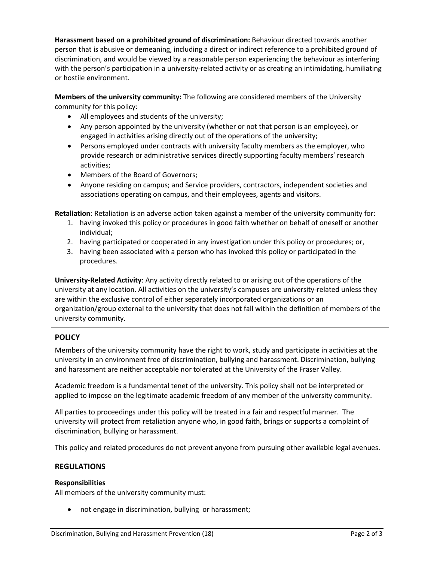**Harassment based on a prohibited ground of discrimination:** Behaviour directed towards another person that is abusive or demeaning, including a direct or indirect reference to a prohibited ground of discrimination, and would be viewed by a reasonable person experiencing the behaviour as interfering with the person's participation in a university-related activity or as creating an intimidating, humiliating or hostile environment.

**Members of the university community:** The following are considered members of the University community for this policy:

- All employees and students of the university;
- Any person appointed by the university (whether or not that person is an employee), or engaged in activities arising directly out of the operations of the university;
- Persons employed under contracts with university faculty members as the employer, who provide research or administrative services directly supporting faculty members' research activities;
- Members of the Board of Governors;
- Anyone residing on campus; and Service providers, contractors, independent societies and associations operating on campus, and their employees, agents and visitors.

**Retaliation**: Retaliation is an adverse action taken against a member of the university community for:

- 1. having invoked this policy or procedures in good faith whether on behalf of oneself or another individual;
- 2. having participated or cooperated in any investigation under this policy or procedures; or,
- 3. having been associated with a person who has invoked this policy or participated in the procedures.

**University-Related Activity**: Any activity directly related to or arising out of the operations of the university at any location. All activities on the university's campuses are university-related unless they are within the exclusive control of either separately incorporated organizations or an organization/group external to the university that does not fall within the definition of members of the university community.

# **POLICY**

Members of the university community have the right to work, study and participate in activities at the university in an environment free of discrimination, bullying and harassment. Discrimination, bullying and harassment are neither acceptable nor tolerated at the University of the Fraser Valley.

Academic freedom is a fundamental tenet of the university. This policy shall not be interpreted or applied to impose on the legitimate academic freedom of any member of the university community.

All parties to proceedings under this policy will be treated in a fair and respectful manner. The university will protect from retaliation anyone who, in good faith, brings or supports a complaint of discrimination, bullying or harassment.

This policy and related procedures do not prevent anyone from pursuing other available legal avenues.

# **REGULATIONS**

## **Responsibilities**

All members of the university community must:

• not engage in discrimination, bullying or harassment;